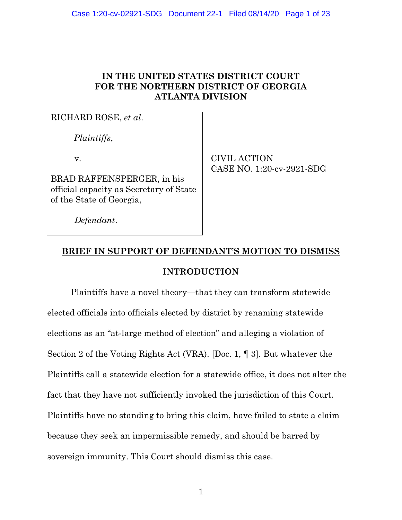# **IN THE UNITED STATES DISTRICT COURT FOR THE NORTHERN DISTRICT OF GEORGIA ATLANTA DIVISION**

RICHARD ROSE, *et al*.

 *Plaintiffs*,

v.

BRAD RAFFENSPERGER, in his official capacity as Secretary of State of the State of Georgia,

 CIVIL ACTION CASE NO. 1:20-cv-2921-SDG

 *Defendant*.

# **BRIEF IN SUPPORT OF DEFENDANT'S MOTION TO DISMISS**

# **INTRODUCTION**

Plaintiffs have a novel theory—that they can transform statewide elected officials into officials elected by district by renaming statewide elections as an "at-large method of election" and alleging a violation of Section 2 of the Voting Rights Act (VRA). [Doc. 1, ¶ 3]. But whatever the Plaintiffs call a statewide election for a statewide office, it does not alter the fact that they have not sufficiently invoked the jurisdiction of this Court. Plaintiffs have no standing to bring this claim, have failed to state a claim because they seek an impermissible remedy, and should be barred by sovereign immunity. This Court should dismiss this case.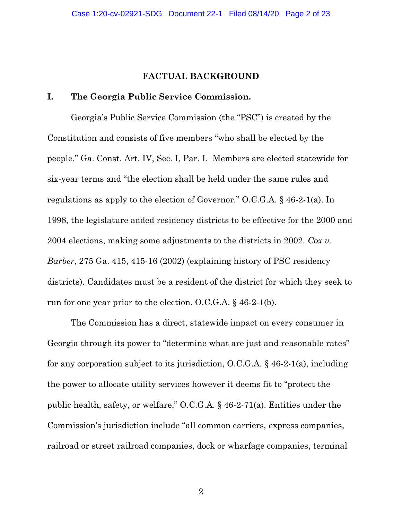### **FACTUAL BACKGROUND**

## **I. The Georgia Public Service Commission.**

Georgia's Public Service Commission (the "PSC") is created by the Constitution and consists of five members "who shall be elected by the people." Ga. Const. Art. IV, Sec. I, Par. I. Members are elected statewide for six-year terms and "the election shall be held under the same rules and regulations as apply to the election of Governor." O.C.G.A. § 46-2-1(a). In 1998, the legislature added residency districts to be effective for the 2000 and 2004 elections, making some adjustments to the districts in 2002. *Cox v. Barber*, 275 Ga. 415, 415-16 (2002) (explaining history of PSC residency districts). Candidates must be a resident of the district for which they seek to run for one year prior to the election. O.C.G.A. § 46-2-1(b).

The Commission has a direct, statewide impact on every consumer in Georgia through its power to "determine what are just and reasonable rates" for any corporation subject to its jurisdiction, O.C.G.A. § 46-2-1(a), including the power to allocate utility services however it deems fit to "protect the public health, safety, or welfare," O.C.G.A. § 46-2-71(a). Entities under the Commission's jurisdiction include "all common carriers, express companies, railroad or street railroad companies, dock or wharfage companies, terminal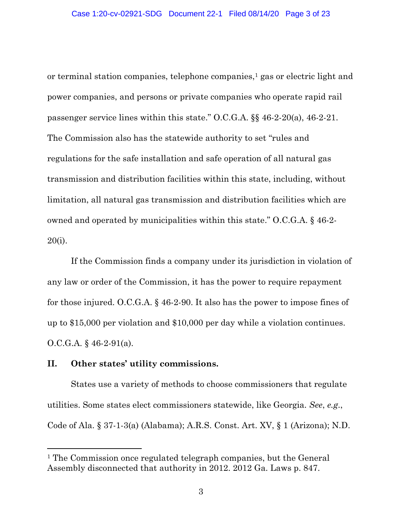or terminal station companies, telephone companies,<sup>1</sup> gas or electric light and power companies, and persons or private companies who operate rapid rail passenger service lines within this state." O.C.G.A. §§ 46-2-20(a), 46-2-21. The Commission also has the statewide authority to set "rules and regulations for the safe installation and safe operation of all natural gas transmission and distribution facilities within this state, including, without limitation, all natural gas transmission and distribution facilities which are owned and operated by municipalities within this state." O.C.G.A. § 46-2- 20(i).

If the Commission finds a company under its jurisdiction in violation of any law or order of the Commission, it has the power to require repayment for those injured. O.C.G.A. § 46-2-90. It also has the power to impose fines of up to \$15,000 per violation and \$10,000 per day while a violation continues. O.C.G.A. § 46-2-91(a).

## **II. Other states' utility commissions.**

 $\overline{a}$ 

States use a variety of methods to choose commissioners that regulate utilities. Some states elect commissioners statewide, like Georgia. *See*, *e.g*., Code of Ala. § 37-1-3(a) (Alabama); A.R.S. Const. Art. XV, § 1 (Arizona); N.D.

<sup>1</sup> The Commission once regulated telegraph companies, but the General Assembly disconnected that authority in 2012. 2012 Ga. Laws p. 847.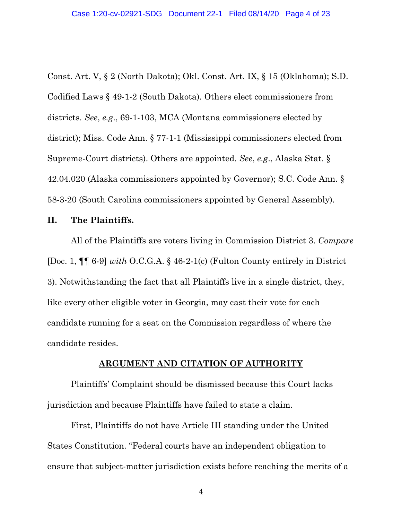Const. Art. V, § 2 (North Dakota); Okl. Const. Art. IX, § 15 (Oklahoma); S.D. Codified Laws § 49-1-2 (South Dakota). Others elect commissioners from districts. *See*, *e.g*., 69-1-103, MCA (Montana commissioners elected by district); Miss. Code Ann. § 77-1-1 (Mississippi commissioners elected from Supreme-Court districts). Others are appointed. *See*, *e.g*., Alaska Stat. § 42.04.020 (Alaska commissioners appointed by Governor); S.C. Code Ann. § 58-3-20 (South Carolina commissioners appointed by General Assembly).

#### **II. The Plaintiffs.**

All of the Plaintiffs are voters living in Commission District 3. *Compare* [Doc. 1, ¶¶ 6-9] *with* O.C.G.A. § 46-2-1(c) (Fulton County entirely in District 3). Notwithstanding the fact that all Plaintiffs live in a single district, they, like every other eligible voter in Georgia, may cast their vote for each candidate running for a seat on the Commission regardless of where the candidate resides.

#### **ARGUMENT AND CITATION OF AUTHORITY**

Plaintiffs' Complaint should be dismissed because this Court lacks jurisdiction and because Plaintiffs have failed to state a claim.

First, Plaintiffs do not have Article III standing under the United States Constitution. "Federal courts have an independent obligation to ensure that subject-matter jurisdiction exists before reaching the merits of a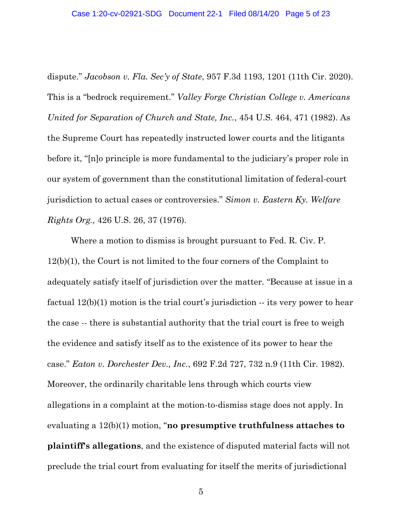dispute." *Jacobson v. Fla. Sec'y of State*, 957 F.3d 1193, 1201 (11th Cir. 2020). This is a "bedrock requirement." *Valley Forge Christian College v. Americans United for Separation of Church and State, Inc.*, 454 U.S. 464, 471 (1982). As the Supreme Court has repeatedly instructed lower courts and the litigants before it, "[n]o principle is more fundamental to the judiciary's proper role in our system of government than the constitutional limitation of federal-court jurisdiction to actual cases or controversies." *Simon v. Eastern Ky. Welfare Rights Org.,* 426 U.S. 26, 37 (1976).

Where a motion to dismiss is brought pursuant to Fed. R. Civ. P. 12(b)(1), the Court is not limited to the four corners of the Complaint to adequately satisfy itself of jurisdiction over the matter. "Because at issue in a factual 12(b)(1) motion is the trial court's jurisdiction -- its very power to hear the case -- there is substantial authority that the trial court is free to weigh the evidence and satisfy itself as to the existence of its power to hear the case." *Eaton v. Dorchester Dev., Inc.*, 692 F.2d 727, 732 n.9 (11th Cir. 1982). Moreover, the ordinarily charitable lens through which courts view allegations in a complaint at the motion-to-dismiss stage does not apply. In evaluating a 12(b)(1) motion, "**no presumptive truthfulness attaches to plaintiff's allegations**, and the existence of disputed material facts will not preclude the trial court from evaluating for itself the merits of jurisdictional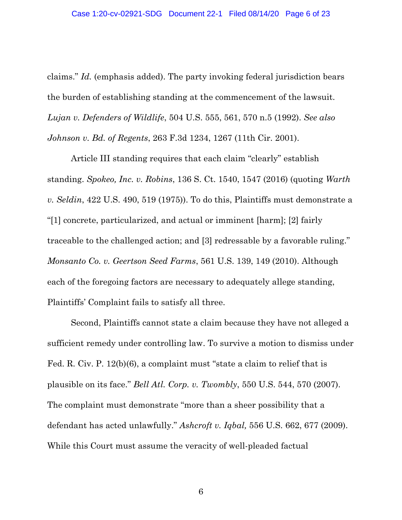claims." *Id.* (emphasis added). The party invoking federal jurisdiction bears the burden of establishing standing at the commencement of the lawsuit. *Lujan v. Defenders of Wildlife*, 504 U.S. 555, 561, 570 n.5 (1992). *See also Johnson v. Bd. of Regents*, 263 F.3d 1234, 1267 (11th Cir. 2001).

Article III standing requires that each claim "clearly" establish standing. *Spokeo, Inc. v. Robins*, 136 S. Ct. 1540, 1547 (2016) (quoting *Warth v. Seldin*, 422 U.S. 490, 519 (1975)). To do this, Plaintiffs must demonstrate a "[1] concrete, particularized, and actual or imminent [harm]; [2] fairly traceable to the challenged action; and [3] redressable by a favorable ruling." *Monsanto Co. v. Geertson Seed Farms*, 561 U.S. 139, 149 (2010). Although each of the foregoing factors are necessary to adequately allege standing, Plaintiffs' Complaint fails to satisfy all three.

Second, Plaintiffs cannot state a claim because they have not alleged a sufficient remedy under controlling law. To survive a motion to dismiss under Fed. R. Civ. P. 12(b)(6), a complaint must "state a claim to relief that is plausible on its face." *Bell Atl. Corp. v. Twombly*, 550 U.S. 544, 570 (2007). The complaint must demonstrate "more than a sheer possibility that a defendant has acted unlawfully." *Ashcroft v. Iqbal,* 556 U.S. 662, 677 (2009). While this Court must assume the veracity of well-pleaded factual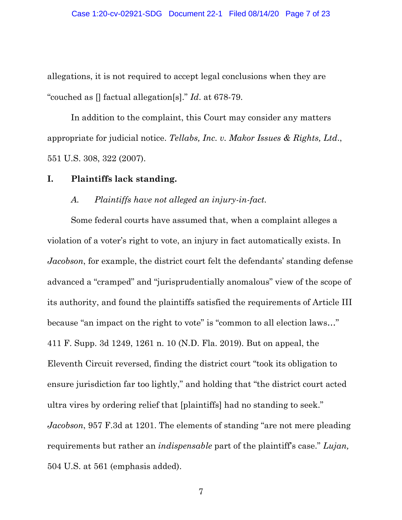allegations, it is not required to accept legal conclusions when they are "couched as [] factual allegation[s]." *Id*. at 678-79.

In addition to the complaint, this Court may consider any matters appropriate for judicial notice. *Tellabs, Inc. v. Makor Issues & Rights, Ltd*., 551 U.S. 308, 322 (2007).

#### **I. Plaintiffs lack standing.**

#### *A. Plaintiffs have not alleged an injury-in-fact.*

Some federal courts have assumed that, when a complaint alleges a violation of a voter's right to vote, an injury in fact automatically exists. In *Jacobson*, for example, the district court felt the defendants' standing defense advanced a "cramped" and "jurisprudentially anomalous" view of the scope of its authority, and found the plaintiffs satisfied the requirements of Article III because "an impact on the right to vote" is "common to all election laws…" 411 F. Supp. 3d 1249, 1261 n. 10 (N.D. Fla. 2019). But on appeal, the Eleventh Circuit reversed, finding the district court "took its obligation to ensure jurisdiction far too lightly," and holding that "the district court acted ultra vires by ordering relief that [plaintiffs] had no standing to seek." *Jacobson*, 957 F.3d at 1201. The elements of standing "are not mere pleading requirements but rather an *indispensable* part of the plaintiff's case." *Lujan,* 504 U.S. at 561 (emphasis added).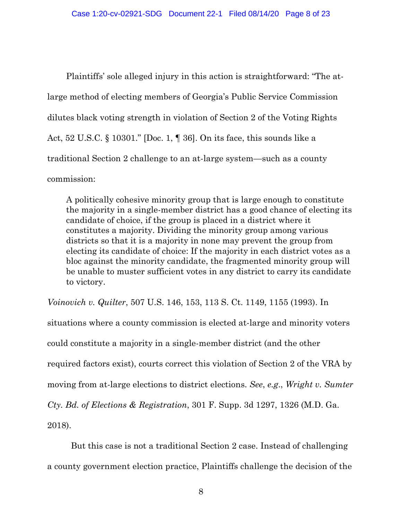Plaintiffs' sole alleged injury in this action is straightforward: "The atlarge method of electing members of Georgia's Public Service Commission dilutes black voting strength in violation of Section 2 of the Voting Rights Act, 52 U.S.C. § 10301." [Doc. 1, ¶ 36]. On its face, this sounds like a traditional Section 2 challenge to an at-large system—such as a county commission:

A politically cohesive minority group that is large enough to constitute the majority in a single-member district has a good chance of electing its candidate of choice, if the group is placed in a district where it constitutes a majority. Dividing the minority group among various districts so that it is a majority in none may prevent the group from electing its candidate of choice: If the majority in each district votes as a bloc against the minority candidate, the fragmented minority group will be unable to muster sufficient votes in any district to carry its candidate to victory.

*Voinovich v. Quilter*, 507 U.S. 146, 153, 113 S. Ct. 1149, 1155 (1993). In

situations where a county commission is elected at-large and minority voters could constitute a majority in a single-member district (and the other required factors exist), courts correct this violation of Section 2 of the VRA by moving from at-large elections to district elections. *See*, *e.g*., *Wright v. Sumter Cty. Bd. of Elections & Registration*, 301 F. Supp. 3d 1297, 1326 (M.D. Ga. 2018).

But this case is not a traditional Section 2 case. Instead of challenging a county government election practice, Plaintiffs challenge the decision of the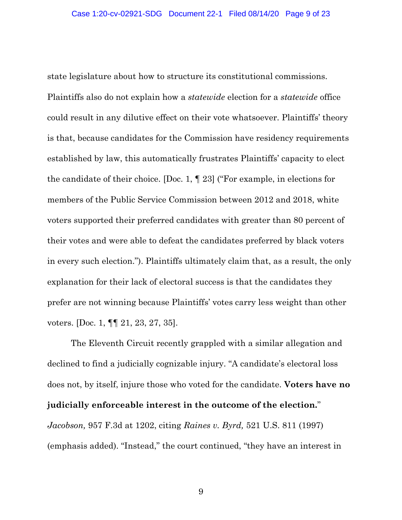state legislature about how to structure its constitutional commissions. Plaintiffs also do not explain how a *statewide* election for a *statewide* office could result in any dilutive effect on their vote whatsoever. Plaintiffs' theory is that, because candidates for the Commission have residency requirements established by law, this automatically frustrates Plaintiffs' capacity to elect the candidate of their choice. [Doc. 1, ¶ 23] ("For example, in elections for members of the Public Service Commission between 2012 and 2018, white voters supported their preferred candidates with greater than 80 percent of their votes and were able to defeat the candidates preferred by black voters in every such election."). Plaintiffs ultimately claim that, as a result, the only explanation for their lack of electoral success is that the candidates they prefer are not winning because Plaintiffs' votes carry less weight than other voters. [Doc. 1, ¶¶ 21, 23, 27, 35].

The Eleventh Circuit recently grappled with a similar allegation and declined to find a judicially cognizable injury. "A candidate's electoral loss does not, by itself, injure those who voted for the candidate. **Voters have no judicially enforceable interest in the outcome of the election.**" *Jacobson,* 957 F.3d at 1202, citing *Raines v. Byrd,* 521 U.S. 811 (1997) (emphasis added). "Instead," the court continued, "they have an interest in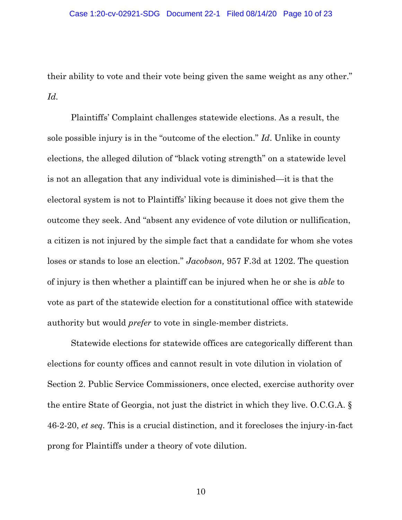their ability to vote and their vote being given the same weight as any other." *Id.*

Plaintiffs' Complaint challenges statewide elections. As a result, the sole possible injury is in the "outcome of the election." *Id*. Unlike in county elections, the alleged dilution of "black voting strength" on a statewide level is not an allegation that any individual vote is diminished—it is that the electoral system is not to Plaintiffs' liking because it does not give them the outcome they seek. And "absent any evidence of vote dilution or nullification, a citizen is not injured by the simple fact that a candidate for whom she votes loses or stands to lose an election." *Jacobson,* 957 F.3d at 1202. The question of injury is then whether a plaintiff can be injured when he or she is *able* to vote as part of the statewide election for a constitutional office with statewide authority but would *prefer* to vote in single-member districts.

Statewide elections for statewide offices are categorically different than elections for county offices and cannot result in vote dilution in violation of Section 2. Public Service Commissioners, once elected, exercise authority over the entire State of Georgia, not just the district in which they live. O.C.G.A. § 46-2-20, *et seq.* This is a crucial distinction, and it forecloses the injury-in-fact prong for Plaintiffs under a theory of vote dilution.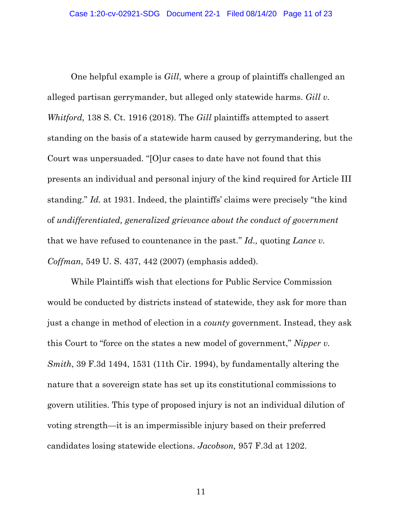One helpful example is *Gill*, where a group of plaintiffs challenged an alleged partisan gerrymander, but alleged only statewide harms. *Gill v. Whitford,* 138 S. Ct. 1916 (2018). The *Gill* plaintiffs attempted to assert standing on the basis of a statewide harm caused by gerrymandering, but the Court was unpersuaded. "[O]ur cases to date have not found that this presents an individual and personal injury of the kind required for Article III standing." *Id.* at 1931. Indeed, the plaintiffs' claims were precisely "the kind of *undifferentiated, generalized grievance about the conduct of government* that we have refused to countenance in the past." *Id.,* quoting *Lance v. Coffman*, 549 U. S. 437, 442 (2007) (emphasis added).

While Plaintiffs wish that elections for Public Service Commission would be conducted by districts instead of statewide, they ask for more than just a change in method of election in a *county* government. Instead, they ask this Court to "force on the states a new model of government," *Nipper v. Smith*, 39 F.3d 1494, 1531 (11th Cir. 1994), by fundamentally altering the nature that a sovereign state has set up its constitutional commissions to govern utilities. This type of proposed injury is not an individual dilution of voting strength—it is an impermissible injury based on their preferred candidates losing statewide elections. *Jacobson,* 957 F.3d at 1202.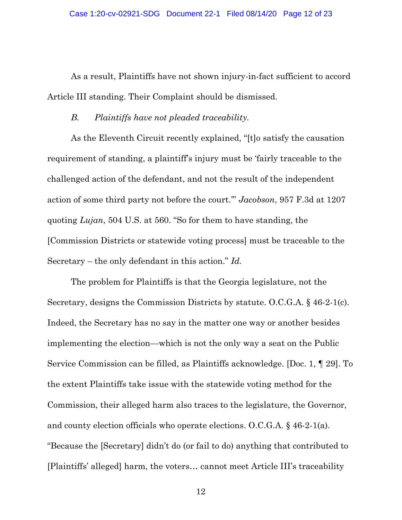As a result, Plaintiffs have not shown injury-in-fact sufficient to accord Article III standing. Their Complaint should be dismissed.

## *B. Plaintiffs have not pleaded traceability.*

As the Eleventh Circuit recently explained, "[t]o satisfy the causation requirement of standing, a plaintiff's injury must be 'fairly traceable to the challenged action of the defendant, and not the result of the independent action of some third party not before the court.'" *Jacobson*, 957 F.3d at 1207 quoting *Lujan*, 504 U.S. at 560. "So for them to have standing, the [Commission Districts or statewide voting process] must be traceable to the Secretary – the only defendant in this action." *Id.*

The problem for Plaintiffs is that the Georgia legislature, not the Secretary, designs the Commission Districts by statute. O.C.G.A. § 46-2-1(c). Indeed, the Secretary has no say in the matter one way or another besides implementing the election—which is not the only way a seat on the Public Service Commission can be filled, as Plaintiffs acknowledge. [Doc. 1, ¶ 29]. To the extent Plaintiffs take issue with the statewide voting method for the Commission, their alleged harm also traces to the legislature, the Governor, and county election officials who operate elections. O.C.G.A. § 46-2-1(a). "Because the [Secretary] didn't do (or fail to do) anything that contributed to [Plaintiffs' alleged] harm, the voters… cannot meet Article III's traceability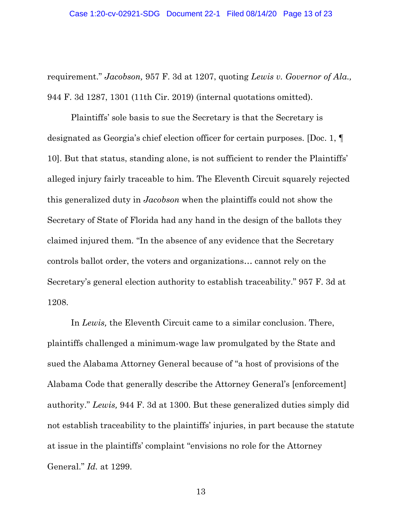requirement." *Jacobson,* 957 F. 3d at 1207, quoting *Lewis v. Governor of Ala.,* 944 F. 3d 1287, 1301 (11th Cir. 2019) (internal quotations omitted).

Plaintiffs' sole basis to sue the Secretary is that the Secretary is designated as Georgia's chief election officer for certain purposes. [Doc. 1, ¶ 10]. But that status, standing alone, is not sufficient to render the Plaintiffs' alleged injury fairly traceable to him. The Eleventh Circuit squarely rejected this generalized duty in *Jacobson* when the plaintiffs could not show the Secretary of State of Florida had any hand in the design of the ballots they claimed injured them*.* "In the absence of any evidence that the Secretary controls ballot order, the voters and organizations… cannot rely on the Secretary's general election authority to establish traceability." 957 F. 3d at 1208.

In *Lewis,* the Eleventh Circuit came to a similar conclusion. There, plaintiffs challenged a minimum-wage law promulgated by the State and sued the Alabama Attorney General because of "a host of provisions of the Alabama Code that generally describe the Attorney General's [enforcement] authority." *Lewis,* 944 F. 3d at 1300. But these generalized duties simply did not establish traceability to the plaintiffs' injuries, in part because the statute at issue in the plaintiffs' complaint "envisions no role for the Attorney General." *Id.* at 1299.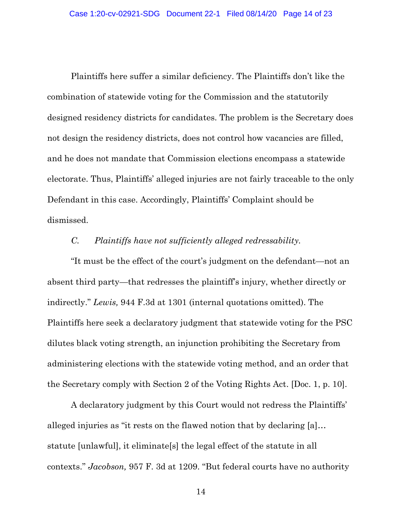Plaintiffs here suffer a similar deficiency. The Plaintiffs don't like the combination of statewide voting for the Commission and the statutorily designed residency districts for candidates. The problem is the Secretary does not design the residency districts, does not control how vacancies are filled, and he does not mandate that Commission elections encompass a statewide electorate. Thus, Plaintiffs' alleged injuries are not fairly traceable to the only Defendant in this case. Accordingly, Plaintiffs' Complaint should be dismissed.

## *C. Plaintiffs have not sufficiently alleged redressability.*

"It must be the effect of the court's judgment on the defendant—not an absent third party—that redresses the plaintiff's injury, whether directly or indirectly." *Lewis,* 944 F.3d at 1301 (internal quotations omitted). The Plaintiffs here seek a declaratory judgment that statewide voting for the PSC dilutes black voting strength, an injunction prohibiting the Secretary from administering elections with the statewide voting method, and an order that the Secretary comply with Section 2 of the Voting Rights Act. [Doc. 1, p. 10].

A declaratory judgment by this Court would not redress the Plaintiffs' alleged injuries as "it rests on the flawed notion that by declaring [a]… statute [unlawful], it eliminate[s] the legal effect of the statute in all contexts." *Jacobson,* 957 F. 3d at 1209. "But federal courts have no authority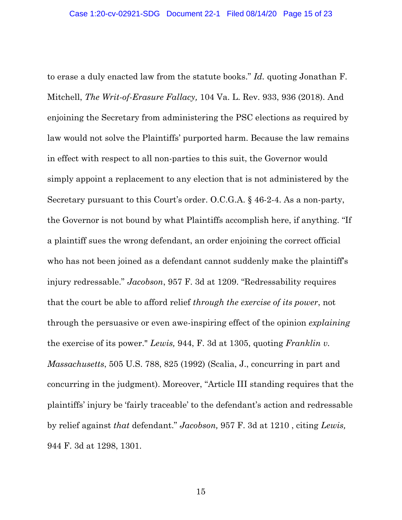to erase a duly enacted law from the statute books." *Id.* quoting Jonathan F. Mitchell, *The Writ-of-Erasure Fallacy,* 104 Va. L. Rev. 933, 936 (2018). And enjoining the Secretary from administering the PSC elections as required by law would not solve the Plaintiffs' purported harm. Because the law remains in effect with respect to all non-parties to this suit, the Governor would simply appoint a replacement to any election that is not administered by the Secretary pursuant to this Court's order. O.C.G.A. § 46-2-4. As a non-party, the Governor is not bound by what Plaintiffs accomplish here, if anything. "If a plaintiff sues the wrong defendant, an order enjoining the correct official who has not been joined as a defendant cannot suddenly make the plaintiff's injury redressable." *Jacobson*, 957 F. 3d at 1209. "Redressability requires that the court be able to afford relief *through the exercise of its power*, not through the persuasive or even awe-inspiring effect of the opinion *explaining* the exercise of its power." *Lewis,* 944, F. 3d at 1305, quoting *Franklin v. Massachusetts*, 505 U.S. 788, 825 (1992) (Scalia, J., concurring in part and concurring in the judgment). Moreover, "Article III standing requires that the plaintiffs' injury be 'fairly traceable' to the defendant's action and redressable by relief against *that* defendant." *Jacobson,* 957 F. 3d at 1210 , citing *Lewis,*  944 F. 3d at 1298, 1301.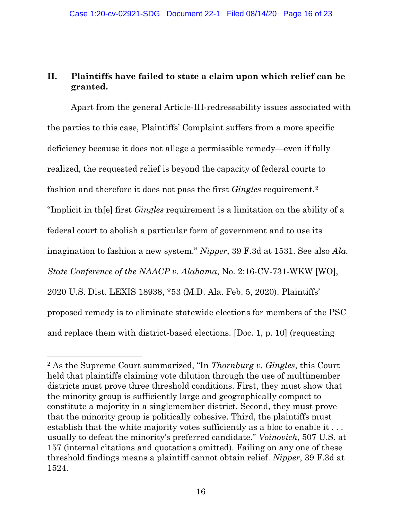# **II. Plaintiffs have failed to state a claim upon which relief can be granted.**

Apart from the general Article-III-redressability issues associated with the parties to this case, Plaintiffs' Complaint suffers from a more specific deficiency because it does not allege a permissible remedy—even if fully realized, the requested relief is beyond the capacity of federal courts to fashion and therefore it does not pass the first *Gingles* requirement. 2 "Implicit in th[e] first *Gingles* requirement is a limitation on the ability of a federal court to abolish a particular form of government and to use its imagination to fashion a new system." *Nipper*, 39 F.3d at 1531. See also *Ala. State Conference of the NAACP v. Alabama*, No. 2:16-CV-731-WKW [WO], 2020 U.S. Dist. LEXIS 18938, \*53 (M.D. Ala. Feb. 5, 2020). Plaintiffs' proposed remedy is to eliminate statewide elections for members of the PSC and replace them with district-based elections. [Doc. 1, p. 10] (requesting

 $\overline{a}$ 

<sup>2</sup> As the Supreme Court summarized, "In *Thornburg v. Gingles*, this Court held that plaintiffs claiming vote dilution through the use of multimember districts must prove three threshold conditions. First, they must show that the minority group is sufficiently large and geographically compact to constitute a majority in a singlemember district. Second, they must prove that the minority group is politically cohesive. Third, the plaintiffs must establish that the white majority votes sufficiently as a bloc to enable it ... usually to defeat the minority's preferred candidate." *Voinovich*, 507 U.S. at 157 (internal citations and quotations omitted). Failing on any one of these threshold findings means a plaintiff cannot obtain relief. *Nipper*, 39 F.3d at 1524.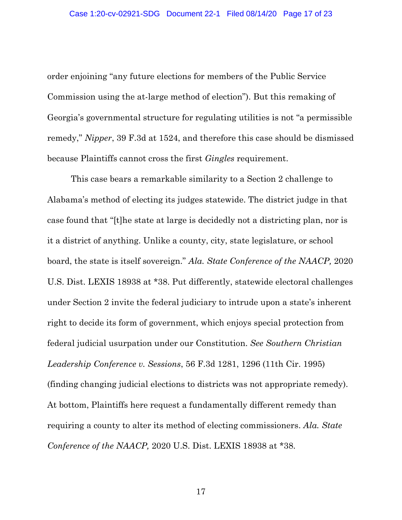order enjoining "any future elections for members of the Public Service Commission using the at-large method of election"). But this remaking of Georgia's governmental structure for regulating utilities is not "a permissible remedy," *Nipper*, 39 F.3d at 1524, and therefore this case should be dismissed because Plaintiffs cannot cross the first *Gingles* requirement.

This case bears a remarkable similarity to a Section 2 challenge to Alabama's method of electing its judges statewide. The district judge in that case found that "[t]he state at large is decidedly not a districting plan, nor is it a district of anything. Unlike a county, city, state legislature, or school board, the state is itself sovereign." *Ala. State Conference of the NAACP,* 2020 U.S. Dist. LEXIS 18938 at \*38. Put differently, statewide electoral challenges under Section 2 invite the federal judiciary to intrude upon a state's inherent right to decide its form of government, which enjoys special protection from federal judicial usurpation under our Constitution. *See Southern Christian Leadership Conference v. Sessions*, 56 F.3d 1281, 1296 (11th Cir. 1995) (finding changing judicial elections to districts was not appropriate remedy). At bottom, Plaintiffs here request a fundamentally different remedy than requiring a county to alter its method of electing commissioners. *Ala. State Conference of the NAACP,* 2020 U.S. Dist. LEXIS 18938 at \*38.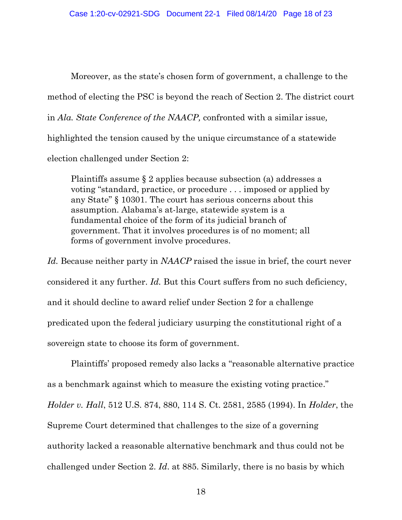Moreover, as the state's chosen form of government, a challenge to the method of electing the PSC is beyond the reach of Section 2. The district court in *Ala. State Conference of the NAACP,* confronted with a similar issue*,* highlighted the tension caused by the unique circumstance of a statewide election challenged under Section 2:

Plaintiffs assume § 2 applies because subsection (a) addresses a voting "standard, practice, or procedure . . . imposed or applied by any State" § 10301. The court has serious concerns about this assumption. Alabama's at-large, statewide system is a fundamental choice of the form of its judicial branch of government. That it involves procedures is of no moment; all forms of government involve procedures.

*Id.* Because neither party in *NAACP* raised the issue in brief, the court never considered it any further. *Id.* But this Court suffers from no such deficiency, and it should decline to award relief under Section 2 for a challenge predicated upon the federal judiciary usurping the constitutional right of a sovereign state to choose its form of government.

Plaintiffs' proposed remedy also lacks a "reasonable alternative practice as a benchmark against which to measure the existing voting practice." *Holder v. Hall*, 512 U.S. 874, 880, 114 S. Ct. 2581, 2585 (1994). In *Holder*, the Supreme Court determined that challenges to the size of a governing authority lacked a reasonable alternative benchmark and thus could not be challenged under Section 2. *Id*. at 885. Similarly, there is no basis by which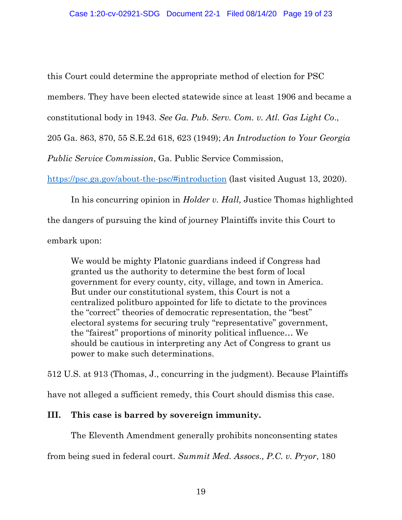this Court could determine the appropriate method of election for PSC members. They have been elected statewide since at least 1906 and became a constitutional body in 1943. *See Ga. Pub. Serv. Com. v. Atl. Gas Light Co*.,

205 Ga. 863, 870, 55 S.E.2d 618, 623 (1949); *An Introduction to Your Georgia* 

*Public Service Commission*, Ga. Public Service Commission,

<https://psc.ga.gov/about-the-psc/#introduction> (last visited August 13, 2020).

In his concurring opinion in *Holder v. Hall,* Justice Thomas highlighted the dangers of pursuing the kind of journey Plaintiffs invite this Court to embark upon:

We would be mighty Platonic guardians indeed if Congress had granted us the authority to determine the best form of local government for every county, city, village, and town in America. But under our constitutional system, this Court is not a centralized politburo appointed for life to dictate to the provinces the "correct" theories of democratic representation, the "best" electoral systems for securing truly "representative" government, the "fairest" proportions of minority political influence… We should be cautious in interpreting any Act of Congress to grant us power to make such determinations.

512 U.S. at 913 (Thomas, J., concurring in the judgment). Because Plaintiffs have not alleged a sufficient remedy, this Court should dismiss this case.

# **III. This case is barred by sovereign immunity.**

The Eleventh Amendment generally prohibits nonconsenting states

from being sued in federal court. *Summit Med. Assocs., P.C. v. Pryor*, 180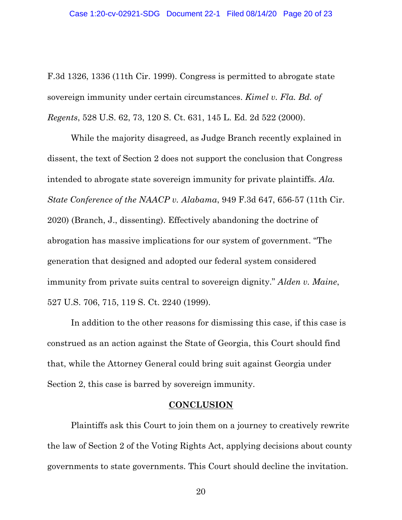F.3d 1326, 1336 (11th Cir. 1999). Congress is permitted to abrogate state sovereign immunity under certain circumstances. *Kimel v. Fla. Bd. of Regents*, 528 U.S. 62, 73, 120 S. Ct. 631, 145 L. Ed. 2d 522 (2000).

While the majority disagreed, as Judge Branch recently explained in dissent, the text of Section 2 does not support the conclusion that Congress intended to abrogate state sovereign immunity for private plaintiffs. *Ala. State Conference of the NAACP v. Alabama*, 949 F.3d 647, 656-57 (11th Cir. 2020) (Branch, J., dissenting). Effectively abandoning the doctrine of abrogation has massive implications for our system of government. "The generation that designed and adopted our federal system considered immunity from private suits central to sovereign dignity." *Alden v. Maine*, 527 U.S. 706, 715, 119 S. Ct. 2240 (1999).

In addition to the other reasons for dismissing this case, if this case is construed as an action against the State of Georgia, this Court should find that, while the Attorney General could bring suit against Georgia under Section 2, this case is barred by sovereign immunity.

#### **CONCLUSION**

Plaintiffs ask this Court to join them on a journey to creatively rewrite the law of Section 2 of the Voting Rights Act, applying decisions about county governments to state governments. This Court should decline the invitation.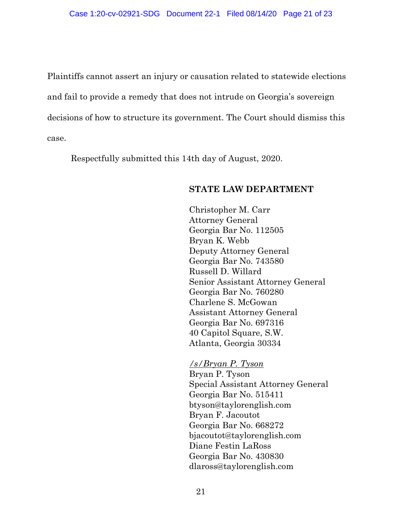Plaintiffs cannot assert an injury or causation related to statewide elections and fail to provide a remedy that does not intrude on Georgia's sovereign decisions of how to structure its government. The Court should dismiss this case.

Respectfully submitted this 14th day of August, 2020.

## **STATE LAW DEPARTMENT**

Christopher M. Carr Attorney General Georgia Bar No. 112505 Bryan K. Webb Deputy Attorney General Georgia Bar No. 743580 Russell D. Willard Senior Assistant Attorney General Georgia Bar No. 760280 Charlene S. McGowan Assistant Attorney General Georgia Bar No. 697316 40 Capitol Square, S.W. Atlanta, Georgia 30334

*/s/Bryan P. Tyson* Bryan P. Tyson Special Assistant Attorney General Georgia Bar No. 515411 btyson@taylorenglish.com Bryan F. Jacoutot Georgia Bar No. 668272 bjacoutot@taylorenglish.com Diane Festin LaRoss Georgia Bar No. 430830 dlaross@taylorenglish.com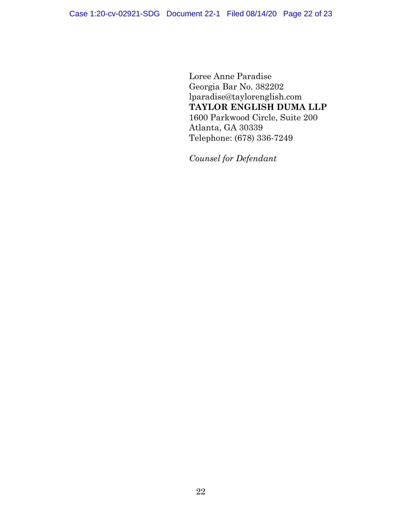Loree Anne Paradise Georgia Bar No. 382202 lparadise@taylorenglish.com **TAYLOR ENGLISH DUMA LLP**  1600 Parkwood Circle, Suite 200 Atlanta, GA 30339 Telephone: (678) 336-7249

*Counsel for Defendant*